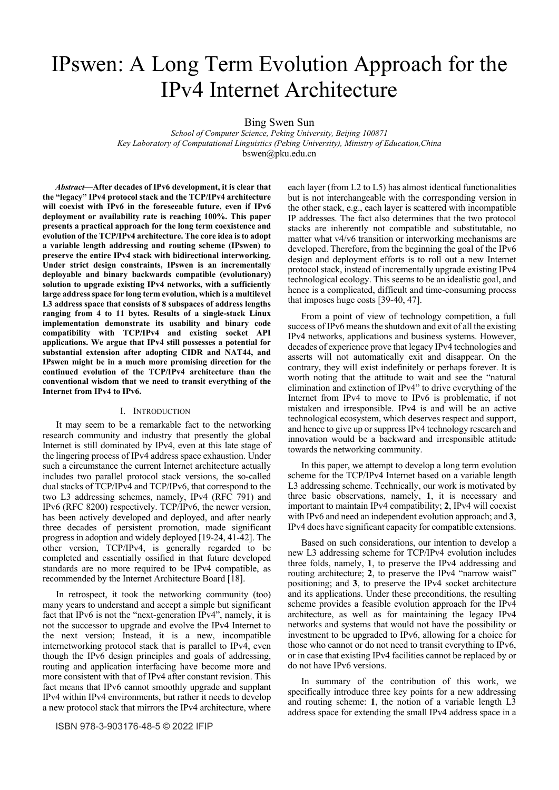# IPswen: A Long Term Evolution Approach for the IPv4 Internet Architecture

Bing Swen Sun

*School of Computer Science, Peking University, Beijing 100871 Key Laboratory of Computational Linguistics (Peking University), Ministry of Education,China*  bswen@pku.edu.cn

*Abstract***—After decades of IPv6 development, it is clear that the "legacy" IPv4 protocol stack and the TCP/IPv4 architecture will coexist with IPv6 in the foreseeable future, even if IPv6 deployment or availability rate is reaching 100%. This paper presents a practical approach for the long term coexistence and evolution of the TCP/IPv4 architecture. The core idea is to adopt a variable length addressing and routing scheme (IPswen) to preserve the entire IPv4 stack with bidirectional interworking. Under strict design constraints, IPswen is an incrementally deployable and binary backwards compatible (evolutionary) solution to upgrade existing IPv4 networks, with a sufficiently large address space for long term evolution, which is a multilevel L3 address space that consists of 8 subspaces of address lengths ranging from 4 to 11 bytes. Results of a single-stack Linux implementation demonstrate its usability and binary code compatibility with TCP/IPv4 and existing socket API applications. We argue that IPv4 still possesses a potential for substantial extension after adopting CIDR and NAT44, and IPswen might be in a much more promising direction for the continued evolution of the TCP/IPv4 architecture than the conventional wisdom that we need to transit everything of the Internet from IPv4 to IPv6.** 

# I. INTRODUCTION

It may seem to be a remarkable fact to the networking research community and industry that presently the global Internet is still dominated by IPv4, even at this late stage of the lingering process of IPv4 address space exhaustion. Under such a circumstance the current Internet architecture actually includes two parallel protocol stack versions, the so-called dual stacks of TCP/IPv4 and TCP/IPv6, that correspond to the two L3 addressing schemes, namely, IPv4 (RFC 791) and IPv6 (RFC 8200) respectively. TCP/IPv6, the newer version, has been actively developed and deployed, and after nearly three decades of persistent promotion, made significant progress in adoption and widely deployed [19-24, 41-42]. The other version, TCP/IPv4, is generally regarded to be completed and essentially ossified in that future developed standards are no more required to be IPv4 compatible, as recommended by the Internet Architecture Board [18].

In retrospect, it took the networking community (too) many years to understand and accept a simple but significant fact that IPv6 is not the "next-generation IPv4", namely, it is not the successor to upgrade and evolve the IPv4 Internet to the next version; Instead, it is a new, incompatible internetworking protocol stack that is parallel to IPv4, even though the IPv6 design principles and goals of addressing, routing and application interfacing have become more and more consistent with that of IPv4 after constant revision. This fact means that IPv6 cannot smoothly upgrade and supplant IPv4 within IPv4 environments, but rather it needs to develop a new protocol stack that mirrors the IPv4 architecture, where

each layer (from L2 to L5) has almost identical functionalities but is not interchangeable with the corresponding version in the other stack, e.g., each layer is scattered with incompatible IP addresses. The fact also determines that the two protocol stacks are inherently not compatible and substitutable, no matter what v4/v6 transition or interworking mechanisms are developed. Therefore, from the beginning the goal of the IPv6 design and deployment efforts is to roll out a new Internet protocol stack, instead of incrementally upgrade existing IPv4 technological ecology. This seems to be an idealistic goal, and hence is a complicated, difficult and time-consuming process that imposes huge costs [39-40, 47].

From a point of view of technology competition, a full success of IPv6 means the shutdown and exit of all the existing IPv4 networks, applications and business systems. However, decades of experience prove that legacy IPv4 technologies and asserts will not automatically exit and disappear. On the contrary, they will exist indefinitely or perhaps forever. It is worth noting that the attitude to wait and see the "natural elimination and extinction of IPv4" to drive everything of the Internet from IPv4 to move to IPv6 is problematic, if not mistaken and irresponsible. IPv4 is and will be an active technological ecosystem, which deserves respect and support, and hence to give up or suppress IPv4 technology research and innovation would be a backward and irresponsible attitude towards the networking community.

In this paper, we attempt to develop a long term evolution scheme for the TCP/IPv4 Internet based on a variable length L3 addressing scheme. Technically, our work is motivated by three basic observations, namely, **1**, it is necessary and important to maintain IPv4 compatibility; **2**, IPv4 will coexist with IPv6 and need an independent evolution approach; and **3**, IPv4 does have significant capacity for compatible extensions.

Based on such considerations, our intention to develop a new L3 addressing scheme for TCP/IPv4 evolution includes three folds, namely, **1**, to preserve the IPv4 addressing and routing architecture; **2**, to preserve the IPv4 "narrow waist" positioning; and **3**, to preserve the IPv4 socket architecture and its applications. Under these preconditions, the resulting scheme provides a feasible evolution approach for the IPv4 architecture, as well as for maintaining the legacy IPv4 networks and systems that would not have the possibility or investment to be upgraded to IPv6, allowing for a choice for those who cannot or do not need to transit everything to IPv6, or in case that existing IPv4 facilities cannot be replaced by or do not have IPv6 versions.

In summary of the contribution of this work, we specifically introduce three key points for a new addressing and routing scheme: **1**, the notion of a variable length L3 address space for extending the small IPv4 address space in a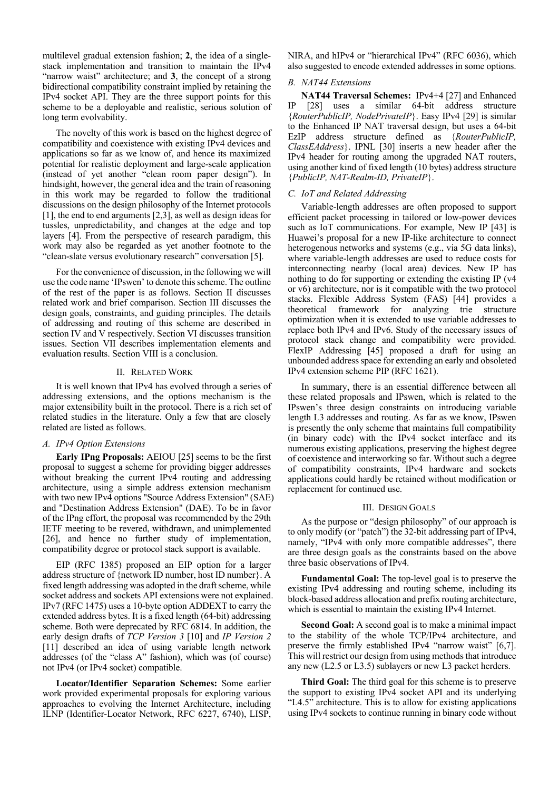multilevel gradual extension fashion; **2**, the idea of a singlestack implementation and transition to maintain the IPv4 "narrow waist" architecture; and **3**, the concept of a strong bidirectional compatibility constraint implied by retaining the IPv4 socket API. They are the three support points for this scheme to be a deployable and realistic, serious solution of long term evolvability.

The novelty of this work is based on the highest degree of compatibility and coexistence with existing IPv4 devices and applications so far as we know of, and hence its maximized potential for realistic deployment and large-scale application (instead of yet another "clean room paper design"). In hindsight, however, the general idea and the train of reasoning in this work may be regarded to follow the traditional discussions on the design philosophy of the Internet protocols [1], the end to end arguments [2,3], as well as design ideas for tussles, unpredictability, and changes at the edge and top layers [4]. From the perspective of research paradigm, this work may also be regarded as yet another footnote to the "clean-slate versus evolutionary research" conversation [5].

For the convenience of discussion, in the following we will use the code name 'IPswen' to denote this scheme. The outline of the rest of the paper is as follows. Section II discusses related work and brief comparison. Section III discusses the design goals, constraints, and guiding principles. The details of addressing and routing of this scheme are described in section IV and V respectively. Section VI discusses transition issues. Section VII describes implementation elements and evaluation results. Section VIII is a conclusion.

# II. RELATED WORK

It is well known that IPv4 has evolved through a series of addressing extensions, and the options mechanism is the major extensibility built in the protocol. There is a rich set of related studies in the literature. Only a few that are closely related are listed as follows.

#### *A. IPv4 Option Extensions*

**Early IPng Proposals:** AEIOU [25] seems to be the first proposal to suggest a scheme for providing bigger addresses without breaking the current IPv4 routing and addressing architecture, using a simple address extension mechanism with two new IPv4 options "Source Address Extension" (SAE) and "Destination Address Extension" (DAE). To be in favor of the IPng effort, the proposal was recommended by the 29th IETF meeting to be revered, withdrawn, and unimplemented [26], and hence no further study of implementation, compatibility degree or protocol stack support is available.

EIP (RFC 1385) proposed an EIP option for a larger address structure of {network ID number, host ID number}. A fixed length addressing was adopted in the draft scheme, while socket address and sockets API extensions were not explained. IPv7 (RFC 1475) uses a 10-byte option ADDEXT to carry the extended address bytes. It is a fixed length (64-bit) addressing scheme. Both were deprecated by RFC 6814. In addition, the early design drafts of *TCP Version 3* [10] and *IP Version 2* [11] described an idea of using variable length network addresses (of the "class A" fashion), which was (of course) not IPv4 (or IPv4 socket) compatible.

**Locator/Identifier Separation Schemes:** Some earlier work provided experimental proposals for exploring various approaches to evolving the Internet Architecture, including ILNP (Identifier-Locator Network, RFC 6227, 6740), LISP, NIRA, and hIPv4 or "hierarchical IPv4" (RFC 6036), which also suggested to encode extended addresses in some options.

# *B. NAT44 Extensions*

**NAT44 Traversal Schemes:** IPv4+4 [27] and Enhanced IP [28] uses a similar 64-bit address structure {*RouterPublicIP, NodePrivateIP*}. Easy IPv4 [29] is similar to the Enhanced IP NAT traversal design, but uses a 64-bit EzIP address structure defined as {*RouterPublicIP, ClassEAddress*}. IPNL [30] inserts a new header after the IPv4 header for routing among the upgraded NAT routers, using another kind of fixed length (10 bytes) address structure {*PublicIP, NAT-Realm-ID, PrivateIP*}.

# *C. IoT and Related Addressing*

Variable-length addresses are often proposed to support efficient packet processing in tailored or low-power devices such as IoT communications. For example, New IP [43] is Huawei's proposal for a new IP-like architecture to connect heterogenous networks and systems (e.g., via 5G data links), where variable-length addresses are used to reduce costs for interconnecting nearby (local area) devices. New IP has nothing to do for supporting or extending the existing IP (v4 or v6) architecture, nor is it compatible with the two protocol stacks. Flexible Address System (FAS) [44] provides a theoretical framework for analyzing trie structure optimization when it is extended to use variable addresses to replace both IPv4 and IPv6. Study of the necessary issues of protocol stack change and compatibility were provided. FlexIP Addressing [45] proposed a draft for using an unbounded address space for extending an early and obsoleted IPv4 extension scheme PIP (RFC 1621).

In summary, there is an essential difference between all these related proposals and IPswen, which is related to the IPswen's three design constraints on introducing variable length L3 addresses and routing. As far as we know, IPswen is presently the only scheme that maintains full compatibility (in binary code) with the IPv4 socket interface and its numerous existing applications, preserving the highest degree of coexistence and interworking so far. Without such a degree of compatibility constraints, IPv4 hardware and sockets applications could hardly be retained without modification or replacement for continued use.

# III. DESIGN GOALS

As the purpose or "design philosophy" of our approach is to only modify (or "patch") the 32-bit addressing part of IPv4, namely, "IPv4 with only more compatible addresses", there are three design goals as the constraints based on the above three basic observations of IPv4.

**Fundamental Goal:** The top-level goal is to preserve the existing IPv4 addressing and routing scheme, including its block-based address allocation and prefix routing architecture, which is essential to maintain the existing IPv4 Internet.

**Second Goal:** A second goal is to make a minimal impact to the stability of the whole TCP/IPv4 architecture, and preserve the firmly established IPv4 "narrow waist" [6,7]. This will restrict our design from using methods that introduce any new (L2.5 or L3.5) sublayers or new L3 packet herders.

**Third Goal:** The third goal for this scheme is to preserve the support to existing IPv4 socket API and its underlying "L4.5" architecture. This is to allow for existing applications using IPv4 sockets to continue running in binary code without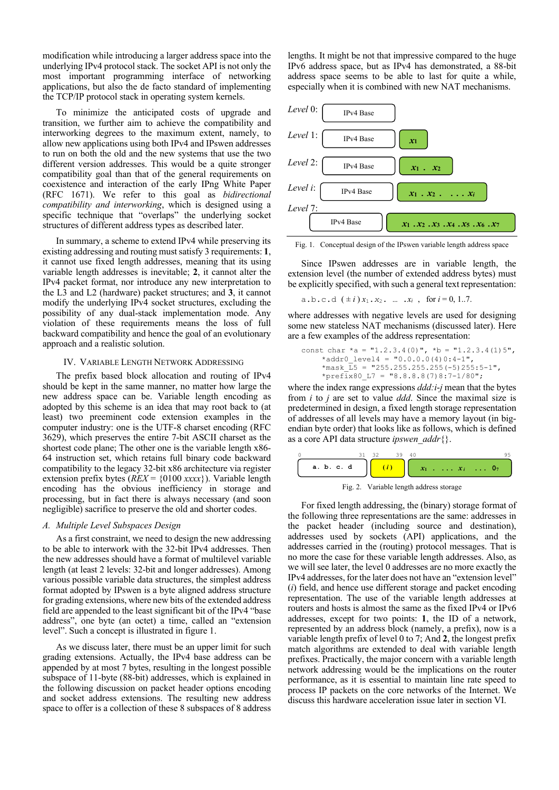modification while introducing a larger address space into the underlying IPv4 protocol stack. The socket API is not only the most important programming interface of networking applications, but also the de facto standard of implementing the TCP/IP protocol stack in operating system kernels.

To minimize the anticipated costs of upgrade and transition, we further aim to achieve the compatibility and interworking degrees to the maximum extent, namely, to allow new applications using both IPv4 and IPswen addresses to run on both the old and the new systems that use the two different version addresses. This would be a quite stronger compatibility goal than that of the general requirements on coexistence and interaction of the early IPng White Paper (RFC 1671). We refer to this goal as *bidirectional compatibility and interworking*, which is designed using a specific technique that "overlaps" the underlying socket structures of different address types as described later.

In summary, a scheme to extend IPv4 while preserving its existing addressing and routing must satisfy 3 requirements: **1**, it cannot use fixed length addresses, meaning that its using variable length addresses is inevitable; **2**, it cannot alter the IPv4 packet format, nor introduce any new interpretation to the L3 and L2 (hardware) packet structures; and **3**, it cannot modify the underlying IPv4 socket structures, excluding the possibility of any dual-stack implementation mode. Any violation of these requirements means the loss of full backward compatibility and hence the goal of an evolutionary approach and a realistic solution.

#### IV. VARIABLE LENGTH NETWORK ADDRESSING

The prefix based block allocation and routing of IPv4 should be kept in the same manner, no matter how large the new address space can be. Variable length encoding as adopted by this scheme is an idea that may root back to (at least) two preeminent code extension examples in the computer industry: one is the UTF-8 charset encoding (RFC 3629), which preserves the entire 7-bit ASCII charset as the shortest code plane; The other one is the variable length x86- 64 instruction set, which retains full binary code backward compatibility to the legacy 32-bit x86 architecture via register extension prefix bytes (*REX* = {0100 *xxxx*}). Variable length encoding has the obvious inefficiency in storage and processing, but in fact there is always necessary (and soon negligible) sacrifice to preserve the old and shorter codes.

#### *A. Multiple Level Subspaces Design*

As a first constraint, we need to design the new addressing to be able to interwork with the 32-bit IPv4 addresses. Then the new addresses should have a format of multilevel variable length (at least 2 levels: 32-bit and longer addresses). Among various possible variable data structures, the simplest address format adopted by IPswen is a byte aligned address structure for grading extensions, where new bits of the extended address field are appended to the least significant bit of the IPv4 "base address", one byte (an octet) a time, called an "extension level". Such a concept is illustrated in figure 1.

As we discuss later, there must be an upper limit for such grading extensions. Actually, the IPv4 base address can be appended by at most 7 bytes, resulting in the longest possible subspace of 11-byte (88-bit) addresses, which is explained in the following discussion on packet header options encoding and socket address extensions. The resulting new address space to offer is a collection of these 8 subspaces of 8 address

lengths. It might be not that impressive compared to the huge IPv6 address space, but as IPv4 has demonstrated, a 88-bit address space seems to be able to last for quite a while, especially when it is combined with new NAT mechanisms.



Fig. 1. Conceptual design of the IPswen variable length address space

Since IPswen addresses are in variable length, the extension level (the number of extended address bytes) must be explicitly specified, with such a general text representation:

a.b.c.d 
$$
(\pm i)x_1 \cdot x_2 \cdot ... \cdot x_i
$$
, for  $i = 0, 1..7$ .

where addresses with negative levels are used for designing some new stateless NAT mechanisms (discussed later). Here are a few examples of the address representation:

\n
$$
\text{const char} \cdot \text{a} = \text{"1.2.3.4(0)}, \quad\n \text{b} = \text{"1.2.3.4(1)5'}, \quad\n \text{4addr0-level4 = "0.0.0.0(4)0:4-1",} \quad\n \text{4mask_5 = "255.255.255.255(-5)255:5-1",} \quad\n \text{4prefix80_1 = "8.8.8.8(7)8:7-1/80";}\n
$$
\n

where the index range expressions *ddd:i*-*j* mean that the bytes from *i* to *j* are set to value *ddd*. Since the maximal size is predetermined in design, a fixed length storage representation of addresses of all levels may have a memory layout (in bigendian byte order) that looks like as follows, which is defined as a core API data structure *ipswen\_addr*{}.



Fig. 2. Variable length address storage

For fixed length addressing, the (binary) storage format of the following three representations are the same: addresses in the packet header (including source and destination), addresses used by sockets (API) applications, and the addresses carried in the (routing) protocol messages. That is no more the case for these variable length addresses. Also, as we will see later, the level 0 addresses are no more exactly the IPv4 addresses, for the later does not have an "extension level" (*i*) field, and hence use different storage and packet encoding representation. The use of the variable length addresses at routers and hosts is almost the same as the fixed IPv4 or IPv6 addresses, except for two points: **1**, the ID of a network, represented by an address block (namely, a prefix), now is a variable length prefix of level 0 to 7; And **2**, the longest prefix match algorithms are extended to deal with variable length prefixes. Practically, the major concern with a variable length network addressing would be the implications on the router performance, as it is essential to maintain line rate speed to process IP packets on the core networks of the Internet. We discuss this hardware acceleration issue later in section VI.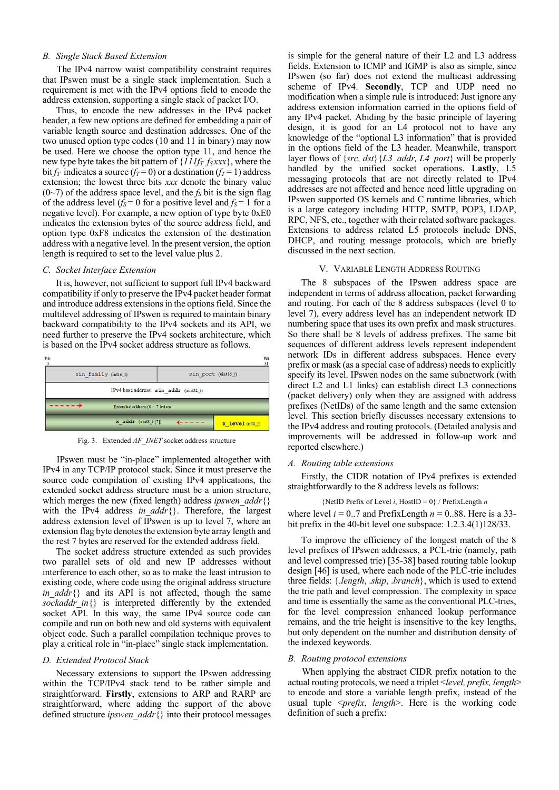# *B. Single Stack Based Extension*

The IPv4 narrow waist compatibility constraint requires that IPswen must be a single stack implementation. Such a requirement is met with the IPv4 options field to encode the address extension, supporting a single stack of packet I/O.

Thus, to encode the new addresses in the IPv4 packet header, a few new options are defined for embedding a pair of variable length source and destination addresses. One of the two unused option type codes (10 and 11 in binary) may now be used. Here we choose the option type 11, and hence the new type byte takes the bit pattern of  $\{111f_T f_Sxxx\}$ , where the bit *f<sub>T</sub>* indicates a source (*f<sub>T</sub>* = 0) or a destination (*f<sub>T</sub>* = 1) address extension; the lowest three bits *xxx* denote the binary value  $(0-7)$  of the address space level, and the  $f<sub>S</sub>$  bit is the sign flag of the address level ( $f_s = 0$  for a positive level and  $f_s = 1$  for a negative level). For example, a new option of type byte 0xE0 indicates the extension bytes of the source address field, and option type 0xF8 indicates the extension of the destination address with a negative level. In the present version, the option length is required to set to the level value plus 2.

#### *C. Socket Interface Extension*

It is, however, not sufficient to support full IPv4 backward compatibility if only to preserve the IPv4 packet header format and introduce address extensions in the options field. Since the multilevel addressing of IPswen is required to maintain binary backward compatibility to the IPv4 sockets and its API, we need further to preserve the IPv4 sockets architecture, which is based on the IPv4 socket address structure as follows.



Fig. 3. Extended *AF\_INET* socket address structure

IPswen must be "in-place" implemented altogether with IPv4 in any TCP/IP protocol stack. Since it must preserve the source code compilation of existing IPv4 applications, the extended socket address structure must be a union structure, which merges the new (fixed length) address *ipswen\_addr*{} with the IPv4 address *in addr*{}. Therefore, the largest address extension level of IPswen is up to level 7, where an extension flag byte denotes the extension byte array length and the rest 7 bytes are reserved for the extended address field.

The socket address structure extended as such provides two parallel sets of old and new IP addresses without interference to each other, so as to make the least intrusion to existing code, where code using the original address structure *in addr*{} and its API is not affected, though the same *sockaddr\_in*{} is interpreted differently by the extended socket API. In this way, the same IPv4 source code can compile and run on both new and old systems with equivalent object code. Such a parallel compilation technique proves to play a critical role in "in-place" single stack implementation.

# *D. Extended Protocol Stack*

Necessary extensions to support the IPswen addressing within the TCP/IPv4 stack tend to be rather simple and straightforward. **Firstly**, extensions to ARP and RARP are straightforward, where adding the support of the above defined structure *ipswen\_addr*{} into their protocol messages is simple for the general nature of their L2 and L3 address fields. Extension to ICMP and IGMP is also as simple, since IPswen (so far) does not extend the multicast addressing scheme of IPv4. **Secondly**, TCP and UDP need no modification when a simple rule is introduced: Just ignore any address extension information carried in the options field of any IPv4 packet. Abiding by the basic principle of layering design, it is good for an L4 protocol not to have any knowledge of the "optional L3 information" that is provided in the options field of the L3 header. Meanwhile, transport layer flows of {*src, dst*}{*L3\_addr, L4\_port*} will be properly handled by the unified socket operations. **Lastly**, L5 messaging protocols that are not directly related to IPv4 addresses are not affected and hence need little upgrading on IPswen supported OS kernels and C runtime libraries, which is a large category including HTTP, SMTP, POP3, LDAP, RPC, NFS, etc., together with their related software packages. Extensions to address related L5 protocols include DNS, DHCP, and routing message protocols, which are briefly discussed in the next section.

### V. VARIABLE LENGTH ADDRESS ROUTING

The 8 subspaces of the IPswen address space are independent in terms of address allocation, packet forwarding and routing. For each of the 8 address subspaces (level 0 to level 7), every address level has an independent network ID numbering space that uses its own prefix and mask structures. So there shall be 8 levels of address prefixes. The same bit sequences of different address levels represent independent network IDs in different address subspaces. Hence every prefix or mask (as a special case of address) needs to explicitly specify its level. IPswen nodes on the same subnetwork (with direct L2 and L1 links) can establish direct L3 connections (packet delivery) only when they are assigned with address prefixes (NetIDs) of the same length and the same extension level. This section briefly discusses necessary extensions to the IPv4 address and routing protocols. (Detailed analysis and improvements will be addressed in follow-up work and reported elsewhere.)

# *A. Routing table extensions*

Firstly, the CIDR notation of IPv4 prefixes is extended straightforwardly to the 8 address levels as follows:

```
{NetID Prefix of Level i, HostID = 0} / PrefixLength n
where level i = 0.7 and PrefixLength n = 0.88. Here is a 33-
bit prefix in the 40-bit level one subspace: 1.2.3.4(1)128/33.
```
To improve the efficiency of the longest match of the 8 level prefixes of IPswen addresses, a PCL-trie (namely, path and level compressed trie) [35-38] based routing table lookup design [46] is used, where each node of the PLC-trie includes three fields: {.*length*, .*skip*, .*branch*}, which is used to extend the trie path and level compression. The complexity in space and time is essentially the same as the conventional PLC-tries, for the level compression enhanced lookup performance remains, and the trie height is insensitive to the key lengths, but only dependent on the number and distribution density of the indexed keywords.

#### *B. Routing protocol extensions*

When applying the abstract CIDR prefix notation to the actual routing protocols, we need a triplet <*level, prefix, length*> to encode and store a variable length prefix, instead of the usual tuple <*prefix*, *length*>. Here is the working code definition of such a prefix: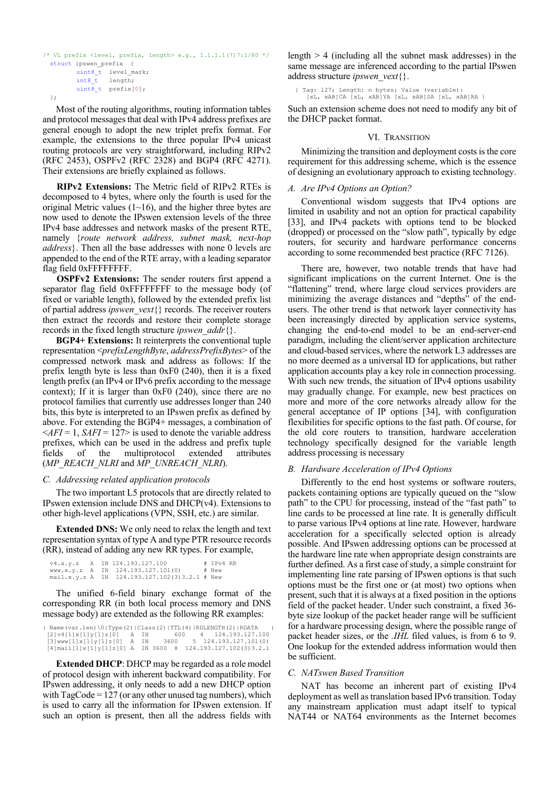```
/* VL prefix <level, prefix, length> e.g., 1.1.1.1(7)7:1/80 */
 struct ipswen prefix {
uint8 t level mark;
int8 t length;
       uint8_t prefix[0];
  };
```
Most of the routing algorithms, routing information tables and protocol messages that deal with IPv4 address prefixes are general enough to adopt the new triplet prefix format. For example, the extensions to the three popular IPv4 unicast routing protocols are very straightforward, including RIPv2 (RFC 2453), OSPFv2 (RFC 2328) and BGP4 (RFC 4271). Their extensions are briefly explained as follows.

**RIPv2 Extensions:** The Metric field of RIPv2 RTEs is decomposed to 4 bytes, where only the fourth is used for the original Metric values  $(1~16)$ , and the higher three bytes are now used to denote the IPswen extension levels of the three IPv4 base addresses and network masks of the present RTE, namely {*route network address, subnet mask, next-hop address*}. Then all the base addresses with none 0 levels are appended to the end of the RTE array, with a leading separator flag field 0xFFFFFFFF.

**OSPFv2 Extensions:** The sender routers first append a separator flag field 0xFFFFFFFF to the message body (of fixed or variable length), followed by the extended prefix list of partial address *ipswen\_vext*{} records. The receiver routers then extract the records and restore their complete storage records in the fixed length structure *ipswen\_addr*{}.

**BGP4+ Extensions:** It reinterprets the conventional tuple representation <*prefixLengthByte*, *addressPrefixBytes*> of the compressed network mask and address as follows: If the prefix length byte is less than 0xF0 (240), then it is a fixed length prefix (an IPv4 or IPv6 prefix according to the message context); If it is larger than 0xF0 (240), since there are no protocol families that currently use addresses longer than 240 bits, this byte is interpreted to an IPswen prefix as defined by above. For extending the BGP4+ messages, a combination of  $\le$ *AFI* = 1, *SAFI* = 127> is used to denote the variable address prefixes, which can be used in the address and prefix tuple fields of the multiprotocol extended attributes (*MP\_REACH\_NLRI* and *MP\_UNREACH\_NLRI*).

# *C. Addressing related application protocols*

The two important L5 protocols that are directly related to IPswen extension include DNS and DHCP(v4). Extensions to other high-level applications (VPN, SSH, etc.) are similar.

**Extended DNS:** We only need to relax the length and text representation syntax of type A and type PTR resource records (RR), instead of adding any new RR types. For example,

```
 v4.x.y.z A IN 124.193.127.100 # IPv4 RR 
 www.x.y.z A IN 124.193.127.101(0) # New 
 mail.x.y.z A IN 124.193.127.102(3)3.2.1 # New
```
The unified 6-field binary exchange format of the corresponding RR (in both local process memory and DNS message body) are extended as the following RR examples:

 $\{ Name(var.length) \ 0|Type(2)|Class(2)|TTL(4)|RDENGTH(2)|RDATA \}$ [2]v4[1]x[1]y[1]z[0] A IN 600 4 124.193.127.100 [3]www[1]x[1]y[1]z[0] A IN 3600 5 124.193.127.101(0) [4]mail[1]x[1]y[1]z[0] A IN 3600 8 124.193.127.102(3)3.2.1

**Extended DHCP**: DHCP may be regarded as a role model of protocol design with inherent backward compatibility. For IPswen addressing, it only needs to add a new DHCP option with TagCode = 127 (or any other unused tag numbers), which is used to carry all the information for IPswen extension. If such an option is present, then all the address fields with

length > 4 (including all the subnet mask addresses) in the same message are inferenced according to the partial IPswen address structure *ipswen\_vext*{}.

 { Tag: 127; Length: n bytes; Value (variable): [xL, xAB]CA [xL, xAB]YA [xL, xAB]SA [xL, xAB]RA }

Such an extension scheme does not need to modify any bit of the DHCP packet format.

# VI. TRANSITION

Minimizing the transition and deployment costs is the core requirement for this addressing scheme, which is the essence of designing an evolutionary approach to existing technology.

# *A. Are IPv4 Options an Option?*

Conventional wisdom suggests that IPv4 options are limited in usability and not an option for practical capability [33], and IPv4 packets with options tend to be blocked (dropped) or processed on the "slow path", typically by edge routers, for security and hardware performance concerns according to some recommended best practice (RFC 7126).

There are, however, two notable trends that have had significant implications on the current Internet. One is the "flattening" trend, where large cloud services providers are minimizing the average distances and "depths" of the endusers. The other trend is that network layer connectivity has been increasingly directed by application service systems, changing the end-to-end model to be an end-server-end paradigm, including the client/server application architecture and cloud-based services, where the network L3 addresses are no more deemed as a universal ID for applications, but rather application accounts play a key role in connection processing. With such new trends, the situation of IPv4 options usability may gradually change. For example, new best practices on more and more of the core networks already allow for the general acceptance of IP options [34], with configuration flexibilities for specific options to the fast path. Of course, for the old core routers to transition, hardware acceleration technology specifically designed for the variable length address processing is necessary

# *B. Hardware Acceleration of IPv4 Options*

Differently to the end host systems or software routers, packets containing options are typically queued on the "slow path" to the CPU for processing, instead of the "fast path" to line cards to be processed at line rate. It is generally difficult to parse various IPv4 options at line rate. However, hardware acceleration for a specifically selected option is already possible. And IPswen addressing options can be processed at the hardware line rate when appropriate design constraints are further defined. As a first case of study, a simple constraint for implementing line rate parsing of IPswen options is that such options must be the first one or (at most) two options when present, such that it is always at a fixed position in the options field of the packet header. Under such constraint, a fixed 36 byte size lookup of the packet header range will be sufficient for a hardware processing design, where the possible range of packet header sizes, or the *.IHL* filed values, is from 6 to 9. One lookup for the extended address information would then be sufficient.

# *C. NATswen Based Transition*

NAT has become an inherent part of existing IPv4 deployment as well as translation based IPv6 transition. Today any mainstream application must adapt itself to typical NAT44 or NAT64 environments as the Internet becomes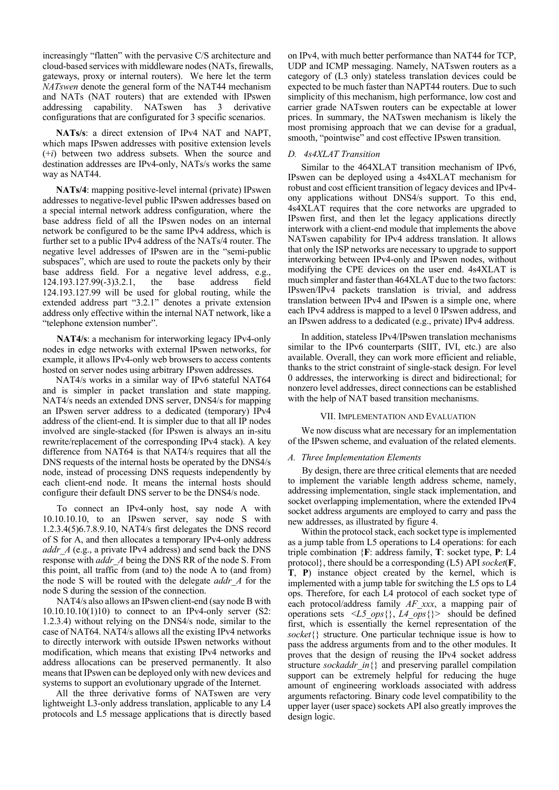increasingly "flatten" with the pervasive C/S architecture and cloud-based services with middleware nodes (NATs, firewalls, gateways, proxy or internal routers). We here let the term *NATswen* denote the general form of the NAT44 mechanism and NATs (NAT routers) that are extended with IPswen addressing capability. NATswen has 3 derivative configurations that are configurated for 3 specific scenarios.

**NATs/s**: a direct extension of IPv4 NAT and NAPT, which maps IPswen addresses with positive extension levels (+*i*) between two address subsets. When the source and destination addresses are IPv4-only, NATs/s works the same way as NAT44.

**NATs/4**: mapping positive-level internal (private) IPswen addresses to negative-level public IPswen addresses based on a special internal network address configuration, where the base address field of all the IPswen nodes on an internal network be configured to be the same IPv4 address, which is further set to a public IPv4 address of the NATs/4 router. The negative level addresses of IPswen are in the "semi-public subspaces", which are used to route the packets only by their base address field. For a negative level address, e.g., 124.193.127.99(-3)3.2.1, the base address field 124.193.127.99 will be used for global routing, while the extended address part "3.2.1" denotes a private extension address only effective within the internal NAT network, like a "telephone extension number".

**NAT4/s**: a mechanism for interworking legacy IPv4-only nodes in edge networks with external IPswen networks, for example, it allows IPv4-only web browsers to access contents hosted on server nodes using arbitrary IPswen addresses.

NAT4/s works in a similar way of IPv6 stateful NAT64 and is simpler in packet translation and state mapping. NAT4/s needs an extended DNS server, DNS4/s for mapping an IPswen server address to a dedicated (temporary) IPv4 address of the client-end. It is simpler due to that all IP nodes involved are single-stacked (for IPswen is always an in-situ rewrite/replacement of the corresponding IPv4 stack). A key difference from NAT64 is that NAT4/s requires that all the DNS requests of the internal hosts be operated by the DNS4/s node, instead of processing DNS requests independently by each client-end node. It means the internal hosts should configure their default DNS server to be the DNS4/s node.

To connect an IPv4-only host, say node A with 10.10.10.10, to an IPswen server, say node S with 1.2.3.4(5)6.7.8.9.10, NAT4/s first delegates the DNS record of S for A, and then allocates a temporary IPv4-only address *addr A* (e.g., a private IPv4 address) and send back the DNS response with *addr\_A* being the DNS RR of the node S. From this point, all traffic from (and to) the node A to (and from) the node S will be routed with the delegate *addr\_A* for the node S during the session of the connection.

NAT4/s also allows an IPswen client-end (say node B with  $10.10.10.10(1)10$ ) to connect to an IPv4-only server (S2: 1.2.3.4) without relying on the DNS4/s node, similar to the case of NAT64. NAT4/s allows all the existing IPv4 networks to directly interwork with outside IPswen networks without modification, which means that existing IPv4 networks and address allocations can be preserved permanently. It also means that IPswen can be deployed only with new devices and systems to support an evolutionary upgrade of the Internet.

All the three derivative forms of NATswen are very lightweight L3-only address translation, applicable to any L4 protocols and L5 message applications that is directly based on IPv4, with much better performance than NAT44 for TCP, UDP and ICMP messaging. Namely, NATswen routers as a category of (L3 only) stateless translation devices could be expected to be much faster than NAPT44 routers. Due to such simplicity of this mechanism, high performance, low cost and carrier grade NATswen routers can be expectable at lower prices. In summary, the NATswen mechanism is likely the most promising approach that we can devise for a gradual, smooth, "pointwise" and cost effective IPswen transition.

# *D. 4s4XLAT Transition*

Similar to the 464XLAT transition mechanism of IPv6, IPswen can be deployed using a 4s4XLAT mechanism for robust and cost efficient transition of legacy devices and IPv4 ony applications without DNS4/s support. To this end, 4s4XLAT requires that the core networks are upgraded to IPswen first, and then let the legacy applications directly interwork with a client-end module that implements the above NATswen capability for IPv4 address translation. It allows that only the ISP networks are necessary to upgrade to support interworking between IPv4-only and IPswen nodes, without modifying the CPE devices on the user end. 4s4XLAT is much simpler and faster than 464XLAT due to the two factors: IPswen/IPv4 packets translation is trivial, and address translation between IPv4 and IPswen is a simple one, where each IPv4 address is mapped to a level 0 IPswen address, and an IPswen address to a dedicated (e.g., private) IPv4 address.

In addition, stateless IPv4/IPswen translation mechanisms similar to the IPv6 counterparts (SIIT, IVI, etc.) are also available. Overall, they can work more efficient and reliable, thanks to the strict constraint of single-stack design. For level 0 addresses, the interworking is direct and bidirectional; for nonzero level addresses, direct connections can be established with the help of NAT based transition mechanisms.

# VII. IMPLEMENTATION AND EVALUATION

We now discuss what are necessary for an implementation of the IPswen scheme, and evaluation of the related elements.

#### *A. Three Implementation Elements*

By design, there are three critical elements that are needed to implement the variable length address scheme, namely, addressing implementation, single stack implementation, and socket overlapping implementation, where the extended IPv4 socket address arguments are employed to carry and pass the new addresses, as illustrated by figure 4.

Within the protocol stack, each socket type is implemented as a jump table from L5 operations to L4 operations: for each triple combination {**F**: address family, **T**: socket type, **P**: L4 protocol}, there should be a corresponding (L5) API *socket*(**F**, **T**, **P**) instance object created by the kernel, which is implemented with a jump table for switching the L5 ops to L4 ops. Therefore, for each L4 protocol of each socket type of each protocol/address family *AF\_xxx*, a mapping pair of operations sets <*L5\_ops*{}, *L4\_ops*{}> should be defined first, which is essentially the kernel representation of the *socket*{} structure. One particular technique issue is how to pass the address arguments from and to the other modules. It proves that the design of reusing the IPv4 socket address structure *sockaddr\_in*{} and preserving parallel compilation support can be extremely helpful for reducing the huge amount of engineering workloads associated with address arguments refactoring. Binary code level compatibility to the upper layer (user space) sockets API also greatly improves the design logic.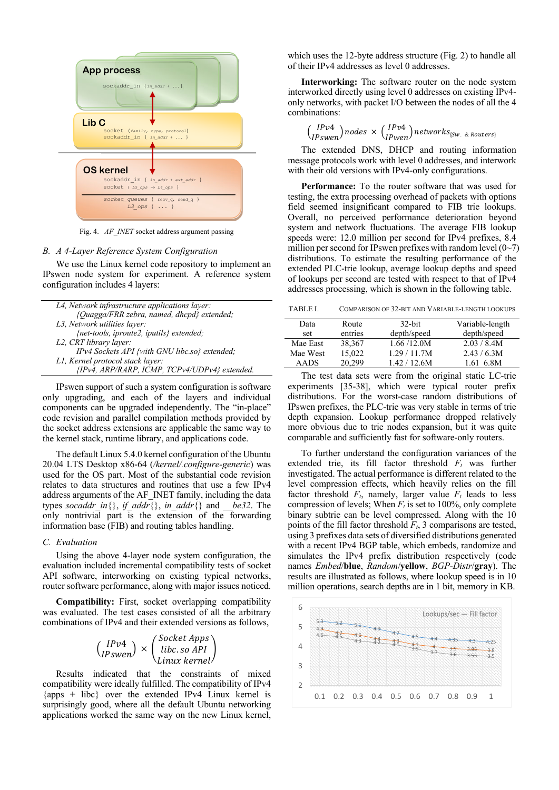

Fig. 4. *AF\_INET* socket address argument passing

# *B. A 4-Layer Reference System Configuration*

We use the Linux kernel code repository to implement an IPswen node system for experiment. A reference system configuration includes 4 layers:

| L4, Network infrastructure applications layer: |
|------------------------------------------------|
| {Quagga/FRR zebra, named, dhcpd} extended;     |
| L3, Network utilities layer:                   |
| {net-tools, iproute2, iputils} extended;       |
| L2, CRT library layer:                         |
| IPv4 Sockets API {with GNU libc.so} extended;  |
| L1, Kernel protocol stack layer:               |
| {IPv4, ARP/RARP, ICMP, TCPv4/UDPv4} extended.  |

IPswen support of such a system configuration is software only upgrading, and each of the layers and individual components can be upgraded independently. The "in-place" code revision and parallel compilation methods provided by the socket address extensions are applicable the same way to the kernel stack, runtime library, and applications code.

The default Linux 5.4.0 kernel configuration of the Ubuntu 20.04 LTS Desktop x86-64 (*/kernel/.configure-generic*) was used for the OS part. Most of the substantial code revision relates to data structures and routines that use a few IPv4 address arguments of the AF\_INET family, including the data types *socaddr\_in*{}, *if\_addr*{}, *in\_addr*{} and *\_\_be32*. The only nontrivial part is the extension of the forwarding information base (FIB) and routing tables handling.

#### *C. Evaluation*

Using the above 4-layer node system configuration, the evaluation included incremental compatibility tests of socket API software, interworking on existing typical networks, router software performance, along with major issues noticed.

**Compatibility:** First, socket overlapping compatibility was evaluated. The test cases consisted of all the arbitrary combinations of IPv4 and their extended versions as follows,

| $\int$ IPv4<br>$\langle$ IPswen $\angle$ |  | $\int$ Socket Apps $\setminus$ |
|------------------------------------------|--|--------------------------------|
|                                          |  | $\times$   libc. so API        |
|                                          |  | \Linux kernel/                 |

Results indicated that the constraints of mixed compatibility were ideally fulfilled. The compatibility of IPv4  $\{\text{apos } + \text{ libc}\}\$  over the extended IPv4 Linux kernel is surprisingly good, where all the default Ubuntu networking applications worked the same way on the new Linux kernel, which uses the 12-byte address structure (Fig. 2) to handle all of their IPv4 addresses as level 0 addresses.

**Interworking:** The software router on the node system interworked directly using level 0 addresses on existing IPv4 only networks, with packet I/O between the nodes of all the 4 combinations:

$$
\binom{IPv4}{IPswen} nodes \times \binom{IPv4}{IPwen} networks_{\{Sw. \& Routers\}}
$$

The extended DNS, DHCP and routing information message protocols work with level 0 addresses, and interwork with their old versions with IPv4-only configurations.

**Performance:** To the router software that was used for testing, the extra processing overhead of packets with options field seemed insignificant compared to FIB trie lookups. Overall, no perceived performance deterioration beyond system and network fluctuations. The average FIB lookup speeds were: 12.0 million per second for IPv4 prefixes, 8.4 million per second for IPswen prefixes with random level  $(0\neg 7)$ distributions. To estimate the resulting performance of the extended PLC-trie lookup, average lookup depths and speed of lookups per second are tested with respect to that of IPv4 addresses processing, which is shown in the following table.

TABLE I. COMPARISON OF 32-BIT AND VARIABLE-LENGTH LOOKUPS

| Data        | Route   | $32$ -bit     | Variable-length |
|-------------|---------|---------------|-----------------|
| set         | entries | depth/speed   | depth/speed     |
| Mae East    | 38,367  | 1.66 / 12.0 M | 2.03 / 8.4M     |
| Mae West    | 15,022  | 1.29 / 11.7M  | 2.43 / 6.3M     |
| <b>AADS</b> | 20.299  | 1.42 / 12.6M  | 1.61 6.8M       |

The test data sets were from the original static LC-trie experiments [35-38], which were typical router prefix distributions. For the worst-case random distributions of IPswen prefixes, the PLC-trie was very stable in terms of trie depth expansion. Lookup performance dropped relatively more obvious due to trie nodes expansion, but it was quite comparable and sufficiently fast for software-only routers.

To further understand the configuration variances of the extended trie, its fill factor threshold *Ft* was further investigated. The actual performance is different related to the level compression effects, which heavily relies on the fill factor threshold  $F_t$ , namely, larger value  $F_t$  leads to less compression of levels; When  $F_t$  is set to 100%, only complete binary subtrie can be level compressed. Along with the 10 points of the fill factor threshold  $F_t$ , 3 comparisons are tested, using 3 prefixes data sets of diversified distributions generated with a recent IPv4 BGP table, which embeds, randomize and simulates the IPv4 prefix distribution respectively (code names *Embed*/**blue**, *Random*/**yellow**, *BGP-Distr*/**gray**). The results are illustrated as follows, where lookup speed is in 10 million operations, search depths are in 1 bit, memory in KB.

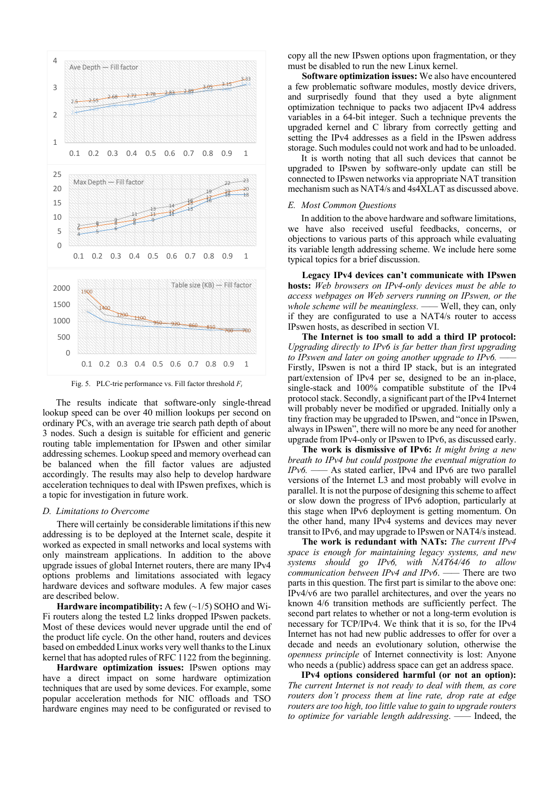

Fig. 5. PLC-trie performance vs. Fill factor threshold  $F_t$ 

The results indicate that software-only single-thread lookup speed can be over 40 million lookups per second on ordinary PCs, with an average trie search path depth of about 3 nodes. Such a design is suitable for efficient and generic routing table implementation for IPswen and other similar addressing schemes. Lookup speed and memory overhead can be balanced when the fill factor values are adjusted accordingly. The results may also help to develop hardware acceleration techniques to deal with IPswen prefixes, which is a topic for investigation in future work.

# *D. Limitations to Overcome*

There will certainly be considerable limitations if this new addressing is to be deployed at the Internet scale, despite it worked as expected in small networks and local systems with only mainstream applications. In addition to the above upgrade issues of global Internet routers, there are many IPv4 options problems and limitations associated with legacy hardware devices and software modules. A few major cases are described below.

**Hardware incompatibility:** A few (~1/5) SOHO and Wi-Fi routers along the tested L2 links dropped IPswen packets. Most of these devices would never upgrade until the end of the product life cycle. On the other hand, routers and devices based on embedded Linux works very well thanks to the Linux kernel that has adopted rules of RFC 1122 from the beginning.

**Hardware optimization issues:** IPswen options may have a direct impact on some hardware optimization techniques that are used by some devices. For example, some popular acceleration methods for NIC offloads and TSO hardware engines may need to be configurated or revised to copy all the new IPswen options upon fragmentation, or they must be disabled to run the new Linux kernel.

**Software optimization issues:** We also have encountered a few problematic software modules, mostly device drivers, and surprisedly found that they used a byte alignment optimization technique to packs two adjacent IPv4 address variables in a 64-bit integer. Such a technique prevents the upgraded kernel and C library from correctly getting and setting the IPv4 addresses as a field in the IPswen address storage. Such modules could not work and had to be unloaded.

It is worth noting that all such devices that cannot be upgraded to IPswen by software-only update can still be connected to IPswen networks via appropriate NAT transition mechanism such as NAT4/s and 4s4XLAT as discussed above.

# *E. Most Common Questions*

In addition to the above hardware and software limitations, we have also received useful feedbacks, concerns, or objections to various parts of this approach while evaluating its variable length addressing scheme. We include here some typical topics for a brief discussion.

**Legacy IPv4 devices can't communicate with IPswen hosts:** *Web browsers on IPv4-only devices must be able to access webpages on Web servers running on IPswen, or the whole scheme will be meaningless. ——* Well, they can, only if they are configurated to use a NAT4/s router to access IPswen hosts, as described in section VI.

**The Internet is too small to add a third IP protocol:**  *Upgrading directly to IPv6 is far better than first upgrading to IPswen and later on going another upgrade to IPv6.* Firstly, IPswen is not a third IP stack, but is an integrated part/extension of IPv4 per se, designed to be an in-place, single-stack and 100% compatible substitute of the IPv4 protocol stack. Secondly, a significant part of the IPv4 Internet will probably never be modified or upgraded. Initially only a tiny fraction may be upgraded to IPswen, and "once in IPswen, always in IPswen", there will no more be any need for another upgrade from IPv4-only or IPswen to IPv6, as discussed early.

**The work is dismissive of IPv6:** *It might bring a new breath to IPv4 but could postpone the eventual migration to IPv6. ——* As stated earlier, IPv4 and IPv6 are two parallel versions of the Internet L3 and most probably will evolve in parallel. It is not the purpose of designing this scheme to affect or slow down the progress of IPv6 adoption, particularly at this stage when IPv6 deployment is getting momentum. On the other hand, many IPv4 systems and devices may never transit to IPv6, and may upgrade to IPswen or NAT4/s instead.

**The work is redundant with NATs:** *The current IPv4 space is enough for maintaining legacy systems, and new systems should go IPv6, with NAT64/46 to allow communication between IPv4 and IPv6*. *——* There are two parts in this question. The first part is similar to the above one: IPv4/v6 are two parallel architectures, and over the years no known 4/6 transition methods are sufficiently perfect. The second part relates to whether or not a long-term evolution is necessary for TCP/IPv4. We think that it is so, for the IPv4 Internet has not had new public addresses to offer for over a decade and needs an evolutionary solution, otherwise the *openness principle* of Internet connectivity is lost: Anyone who needs a (public) address space can get an address space.

**IPv4 options considered harmful (or not an option):**  *The current Internet is not ready to deal with them, as core routers don't process them at line rate, drop rate at edge routers are too high, too little value to gain to upgrade routers to optimize for variable length addressing*. *——* Indeed, the